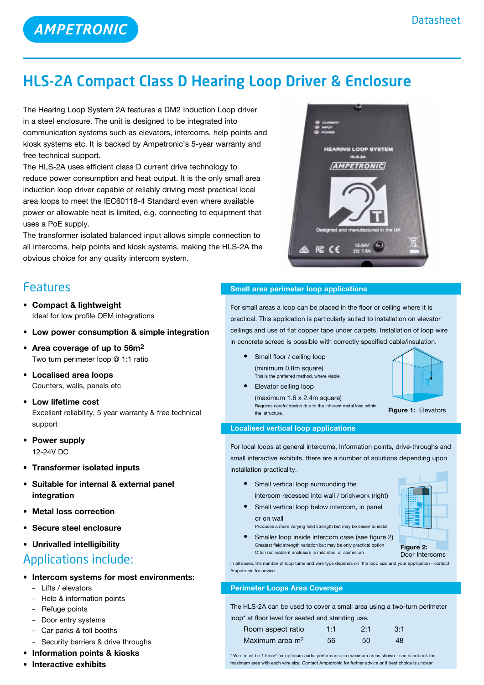

## HLS-2A Compact Class D Hearing Loop Driver & Enclosure

The Hearing Loop System 2A features a DM2 Induction Loop driver in a steel enclosure. The unit is designed to be integrated into communication systems such as elevators, intercoms, help points and kiosk systems etc. It is backed by Ampetronic's 5-year warranty and free technical support.

The HLS-2A uses efficient class D current drive technology to reduce power consumption and heat output. It is the only small area induction loop driver capable of reliably driving most practical local area loops to meet the IEC60118-4 Standard even where available power or allowable heat is limited, e.g. connecting to equipment that uses a PoE supply.

The transformer isolated balanced input allows simple connection to all intercoms, help points and kiosk systems, making the HLS-2A the obvious choice for any quality intercom system.

### Features

- **• Compact & lightweight** Ideal for low profile OEM integrations
- **• Low power consumption & simple integration**
- **• Area coverage of up to 56m2** Two turn perimeter loop @ 1:1 ratio
- **• Localised area loops** Counters, walls, panels etc
- **Low lifetime cost** Excellent reliability, 5 year warranty & free technical support
- **• Power supply** 12-24V DC
- **• Transformer isolated inputs**
- **• Suitable for internal & external panel integration**
- **Metal loss correction**
- **Secure** steel enclosure
- **• Unrivalled intelligibility**

### Applications include:

- **• Intercom systems for most environments:**
	- Lifts / elevators
	- Help & information points
	- Refuge points
	- Door entry systems
	- Car parks & toll booths
	- Security barriers & drive throughs
- **• Information points & kiosks**
- **• Interactive exhibits**

### **Small area perimeter loop applications**

For small areas a loop can be placed in the floor or ceiling where it is practical. This application is particularly suited to installation on elevator ceilings and use of flat copper tape under carpets. Installation of loop wire in concrete screed is possible with correctly specified cable/insulation.

- **Small floor / ceiling loop**  (minimum 0.8m square) This is the preferred method, where viable.
- **•**  Elevator ceiling loop  $(maximum 1.6 x 2.4m square)$  Requires careful design due to the inherent metal loss within the structure.



### **Figure 1:** Elevators

### **Localised vertical loop applications**

For local loops at general intercoms, information points, drive-throughs and small interactive exhibits, there are a number of solutions depending upon installation practicality.

- **•**  Small vertical loop surrounding the intercom recessed into wall / brickwork (right)
- **•** Small vertical loop below intercom, in panel or on wall

Often not viable if enclosure is mild steel or aluminium

Produces a more varying field strength but may be easier to install • Smaller loop inside intercom case (see figure 2) Greatest field strength variation but may be only practical option



**Figure 2:** Door Intercoms

In all cases, the number of loop turns and wire type depends on the loop size and your application - contact Ampetronic for advice.

### **Perimeter Loops Area Coverage**

The HLS-2A can be used to cover a small area using a two-turn perimeter loop\* at floor level for seated and standing use.

| Room aspect ratio           | 1:1 | 2:1 | $-3:1$ |  |
|-----------------------------|-----|-----|--------|--|
| Maximum area m <sup>2</sup> | 56. | 50  | 48     |  |

\* Wire must be 1.5mm2 for optimum audio performance in maximum areas shown - see handbook for maximum area with each wire size. Contact Ampetronic for further advice or if best choice is unclear.